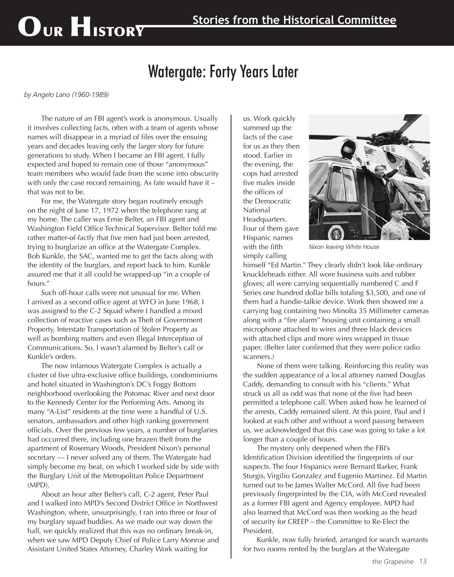## OUR HISTORY

## Watergate: Forty Years Later

*by Angelo Lano (1960-1989)*

The nature of an FBI agent's work is anonymous. Usually it involves collecting facts, often with a team of agents whose names will disappear in a myriad of files over the ensuing years and decades leaving only the larger story for future generations to study. When I became an FBI agent, I fully expected and hoped to remain one of those "anonymous" team members who would fade from the scene into obscurity with only the case record remaining. As fate would have it – that was not to be.

For me, the Watergate story began routinely enough on the night of June 17, 1972 when the telephone rang at my home. The caller was Ernie Belter, an FBI agent and Washington Field Office Technical Supervisor. Belter told me rather matter-of-factly that five men had just been arrested, trying to burglarize an office at the Watergate Complex. Bob Kunkle, the SAC, wanted me to get the facts along with the identity of the burglars, and report back to him. Kunkle assured me that it all could be wrapped-up "in a couple of hours."

Such off-hour calls were not unusual for me. When I arrived as a second office agent at WFO in June 1968, I was assigned to the C-2 Squad where I handled a mixed collection of reactive cases such as Theft of Government Property, Interstate Transportation of Stolen Property as well as bombing matters and even Illegal Interception of Communications. So, I wasn't alarmed by Belter's call or Kunkle's orders.

The now infamous Watergate Complex is actually a cluster of five ultra-exclusive office buildings, condominiums and hotel situated in Washington's DC's Foggy Bottom neighborhood overlooking the Potomac River and next door to the Kennedy Center for the Performing Arts. Among its many "A-List" residents at the time were a handful of U.S. senators, ambassadors and other high ranking government officials. Over the previous few years, a number of burglaries had occurred there, including one brazen theft from the apartment of Rosemary Woods, President Nixon's personal secretary — I never solved any of them. The Watergate had simply become my beat, on which I worked side by side with the Burglary Unit of the Metropolitan Police Department (MPD).

About an hour after Belter's call, C-2 agent, Peter Paul and I walked into MPD's Second District Office in Northwest Washington, where, unsurprisingly, I ran into three or four of my burglary squad buddies. As we made our way down the hall, we quickly realized that this was no ordinary break-in, when we saw MPD Deputy Chief of Police Larry Monroe and Assistant United States Attorney, Charley Work waiting for

us. Work quickly summed up the facts of the case for us as they then stood. Earlier in the evening, the cops had arrested five males inside the offices of the Democratic National Headquarters. Four of them gave Hispanic names with the fifth simply calling



*Nixon leaving White House*

himself "Ed Martin." They clearly didn't look like ordinary knuckleheads either. All wore business suits and rubber gloves; all were carrying sequentially numbered C and F Series one hundred dollar bills totaling \$3,500, and one of them had a handie-talkie device. Work then showed me a carrying bag containing two Minolta 35 Millimeter cameras along with a "fire alarm" housing unit containing a small microphone attached to wires and three black devices with attached clips and more wires wrapped in tissue paper. (Belter later confirmed that they were police radio scanners.)

None of them were talking. Reinforcing this reality was the sudden appearance of a local attorney named Douglas Caddy, demanding to consult with his "clients." What struck us all as odd was that none of the five had been permitted a telephone call. When asked how he learned of the arrests, Caddy remained silent. At this point, Paul and I looked at each other and without a word passing between us, we acknowledged that this case was going to take a lot longer than a couple of hours.

The mystery only deepened when the FBI's Identification Division identified the fingerprints of our suspects. The four Hispanics were Bernard Barker, Frank Sturgis, Virgilio Gonzalez and Eugenio Martinez. Ed Martin turned out to be James Walter McCord. All five had been previously fingerprinted by the CIA, with McCord revealed as a former FBI agent and Agency employee. MPD had also learned that McCord was then working as the head of security for CREEP – the Committee to Re-Elect the President.

Kunkle, now fully briefed, arranged for search warrants for two rooms rented by the burglars at the Watergate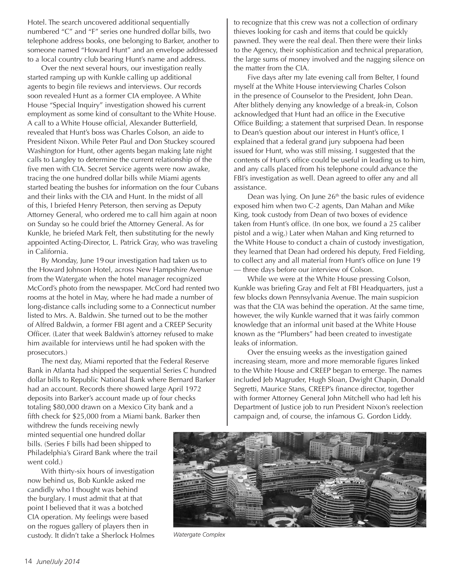Hotel. The search uncovered additional sequentially numbered "C" and "F" series one hundred dollar bills, two telephone address books, one belonging to Barker, another to someone named "Howard Hunt" and an envelope addressed to a local country club bearing Hunt's name and address.

Over the next several hours, our investigation really started ramping up with Kunkle calling up additional agents to begin file reviews and interviews. Our records soon revealed Hunt as a former CIA employee. A White House "Special Inquiry" investigation showed his current employment as some kind of consultant to the White House. A call to a White House official, Alexander Butterfield, revealed that Hunt's boss was Charles Colson, an aide to President Nixon. While Peter Paul and Don Stuckey scoured Washington for Hunt, other agents began making late night calls to Langley to determine the current relationship of the five men with CIA. Secret Service agents were now awake, tracing the one hundred dollar bills while Miami agents started beating the bushes for information on the four Cubans and their links with the CIA and Hunt. In the midst of all of this, I briefed Henry Peterson, then serving as Deputy Attorney General, who ordered me to call him again at noon on Sunday so he could brief the Attorney General. As for Kunkle, he briefed Mark Felt, then substituting for the newly appointed Acting-Director, L. Patrick Gray, who was traveling in California.

By Monday, June 19 our investigation had taken us to the Howard Johnson Hotel, across New Hampshire Avenue from the Watergate when the hotel manager recognized McCord's photo from the newspaper. McCord had rented two rooms at the hotel in May, where he had made a number of long-distance calls including some to a Connecticut number listed to Mrs. A. Baldwin. She turned out to be the mother of Alfred Baldwin, a former FBI agent and a CREEP Security Officer. (Later that week Baldwin's attorney refused to make him available for interviews until he had spoken with the prosecutors.)

The next day, Miami reported that the Federal Reserve Bank in Atlanta had shipped the sequential Series C hundred dollar bills to Republic National Bank where Bernard Barker had an account. Records there showed large April 1972 deposits into Barker's account made up of four checks totaling \$80,000 drawn on a Mexico City bank and a fifth check for \$25,000 from a Miami bank. Barker then

withdrew the funds receiving newly minted sequential one hundred dollar bills. (Series F bills had been shipped to Philadelphia's Girard Bank where the trail went cold.)

With thirty-six hours of investigation now behind us, Bob Kunkle asked me candidly who I thought was behind the burglary. I must admit that at that point I believed that it was a botched CIA operation. My feelings were based on the rogues gallery of players then in custody. It didn't take a Sherlock Holmes *Watergate Complex*

to recognize that this crew was not a collection of ordinary thieves looking for cash and items that could be quickly pawned. They were the real deal. Then there were their links to the Agency, their sophistication and technical preparation, the large sums of money involved and the nagging silence on the matter from the CIA.

Five days after my late evening call from Belter, I found myself at the White House interviewing Charles Colson in the presence of Counselor to the President, John Dean. After blithely denying any knowledge of a break-in, Colson acknowledged that Hunt had an office in the Executive Office Building; a statement that surprised Dean. In response to Dean's question about our interest in Hunt's office, I explained that a federal grand jury subpoena had been issued for Hunt, who was still missing. I suggested that the contents of Hunt's office could be useful in leading us to him, and any calls placed from his telephone could advance the FBI's investigation as well. Dean agreed to offer any and all assistance.

Dean was lying. On June 26<sup>th</sup> the basic rules of evidence exposed him when two C-2 agents, Dan Mahan and Mike King, took custody from Dean of two boxes of evidence taken from Hunt's office. (In one box, we found a 25 caliber pistol and a wig.) Later when Mahan and King returned to the White House to conduct a chain of custody investigation, they learned that Dean had ordered his deputy, Fred Fielding, to collect any and all material from Hunt's office on June 19 — three days before our interview of Colson.

While we were at the White House pressing Colson, Kunkle was briefing Gray and Felt at FBI Headquarters, just a few blocks down Pennsylvania Avenue. The main suspicion was that the CIA was behind the operation. At the same time, however, the wily Kunkle warned that it was fairly common knowledge that an informal unit based at the White House known as the "Plumbers" had been created to investigate leaks of information.

Over the ensuing weeks as the investigation gained increasing steam, more and more memorable figures linked to the White House and CREEP began to emerge. The names included Jeb Magruder, Hugh Sloan, Dwight Chapin, Donald Segretti, Maurice Stans, CREEP's finance director, together with former Attorney General John Mitchell who had left his Department of Justice job to run President Nixon's reelection campaign and, of course, the infamous G. Gordon Liddy.